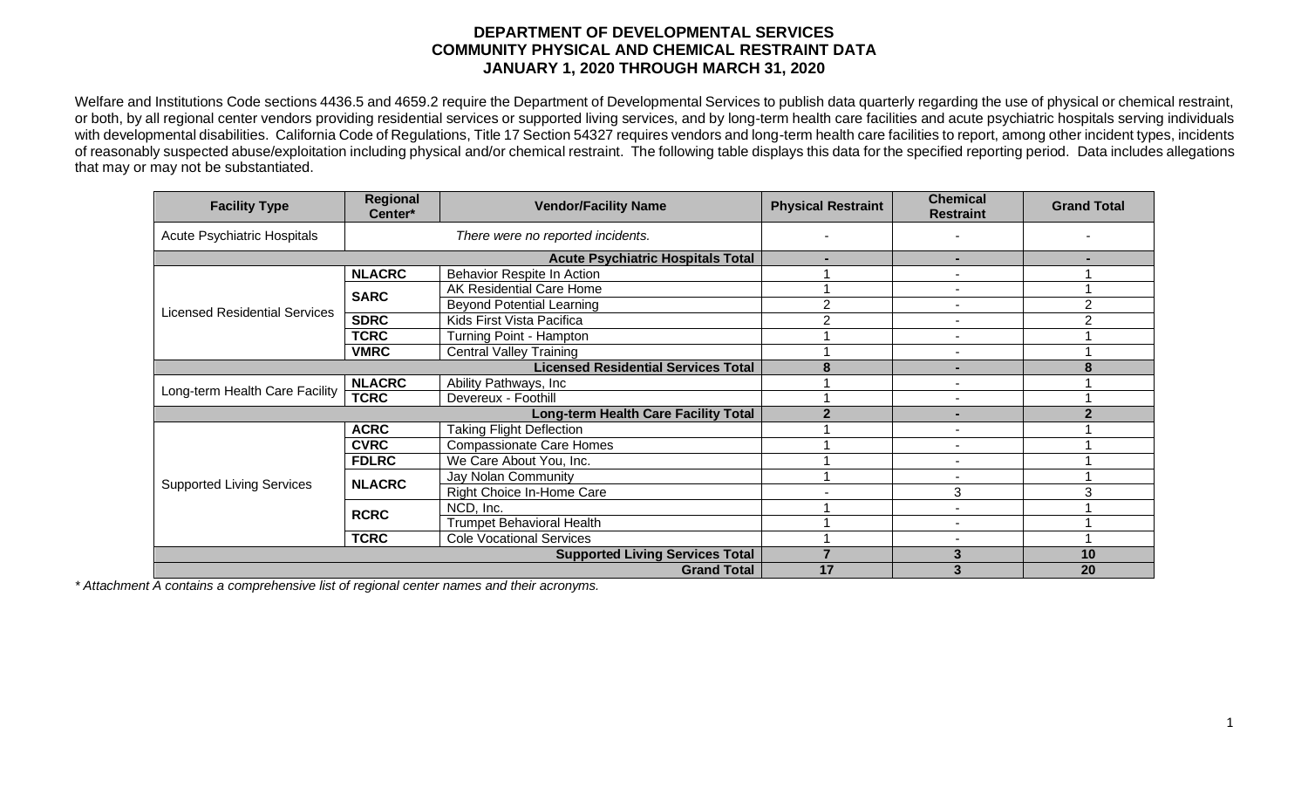## **DEPARTMENT OF DEVELOPMENTAL SERVICES COMMUNITY PHYSICAL AND CHEMICAL RESTRAINT DATA JANUARY 1, 2020 THROUGH MARCH 31, 2020**

Welfare and Institutions Code sections 4436.5 and 4659.2 require the Department of Developmental Services to publish data quarterly regarding the use of physical or chemical restraint, or both, by all regional center vendors providing residential services or supported living services, and by long-term health care facilities and acute psychiatric hospitals serving individuals with developmental disabilities. California Code of Regulations, Title 17 Section 54327 requires vendors and long-term health care facilities to report, among other incident types, incidents of reasonably suspected abuse/exploitation including physical and/or chemical restraint. The following table displays this data for the specified reporting period. Data includes allegations that may or may not be substantiated.

| <b>Facility Type</b>                 | Regional<br>Center*                         | <b>Vendor/Facility Name</b>      | <b>Physical Restraint</b> | <b>Chemical</b><br><b>Restraint</b> | <b>Grand Total</b> |
|--------------------------------------|---------------------------------------------|----------------------------------|---------------------------|-------------------------------------|--------------------|
| Acute Psychiatric Hospitals          | There were no reported incidents.           |                                  |                           |                                     |                    |
|                                      | <b>Acute Psychiatric Hospitals Total</b>    |                                  |                           |                                     |                    |
| <b>Licensed Residential Services</b> | <b>NLACRC</b>                               | Behavior Respite In Action       |                           |                                     |                    |
|                                      | <b>SARC</b>                                 | AK Residential Care Home         |                           |                                     |                    |
|                                      |                                             | <b>Beyond Potential Learning</b> | 2                         |                                     | $\overline{2}$     |
|                                      | <b>SDRC</b>                                 | Kids First Vista Pacifica        | 2                         |                                     | $\overline{2}$     |
|                                      | <b>TCRC</b>                                 | Turning Point - Hampton          |                           |                                     |                    |
|                                      | <b>VMRC</b>                                 | <b>Central Valley Training</b>   |                           | $\blacksquare$                      |                    |
|                                      | <b>Licensed Residential Services Total</b>  | 8                                | -                         |                                     |                    |
| Long-term Health Care Facility       | <b>NLACRC</b>                               | Ability Pathways, Inc            |                           |                                     |                    |
|                                      | <b>TCRC</b>                                 | Devereux - Foothill              |                           | $\overline{\phantom{0}}$            |                    |
|                                      | <b>Long-term Health Care Facility Total</b> | 2                                |                           |                                     |                    |
| <b>Supported Living Services</b>     | <b>ACRC</b>                                 | <b>Taking Flight Deflection</b>  |                           |                                     |                    |
|                                      | <b>CVRC</b>                                 | <b>Compassionate Care Homes</b>  |                           | $\sim$                              |                    |
|                                      | <b>FDLRC</b>                                | We Care About You, Inc.          |                           |                                     |                    |
|                                      | <b>NLACRC</b>                               | Jay Nolan Community              |                           |                                     |                    |
|                                      |                                             | Right Choice In-Home Care        |                           | 3                                   |                    |
|                                      | <b>RCRC</b>                                 | NCD, Inc.                        |                           |                                     |                    |
|                                      |                                             | <b>Trumpet Behavioral Health</b> |                           |                                     |                    |
|                                      | <b>TCRC</b>                                 | <b>Cole Vocational Services</b>  |                           |                                     |                    |
|                                      | <b>Supported Living Services Total</b>      |                                  | 3                         | 10                                  |                    |
|                                      |                                             | <b>Grand Total</b>               | 17                        | 3                                   | 20                 |

*\* Attachment A contains a comprehensive list of regional center names and their acronyms.*